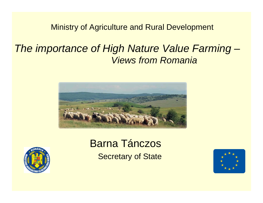Ministry of Agriculture and Rural Development

# *The importance of High Nature Value Farming – Views from Romania*





# Barna TánczosSecretary of State

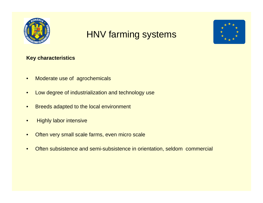

# HNV farming systems



#### **Key characteristics**

- •Moderate use of agrochemicals
- •Low degree of industrialization and technology use
- •Breeds adapted to the local environment
- •Highly labor intensive
- •Often very small scale farms, even micro scale
- •Often subsistence and semi-subsistence in orientation, seldom commercial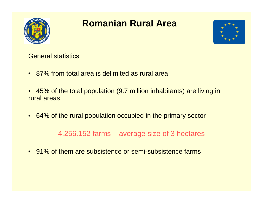

# **Romanian Rural Area**



General statistics

- 87% from total area is delimited as rural area
- 45% of the total population (9.7 million inhabitants) are living in rural areas
- 64% of the rural population occupied in the primary sector

4.256.152 farms – average size of 3 hectares

• 91% of them are subsistence or semi-subsistence farms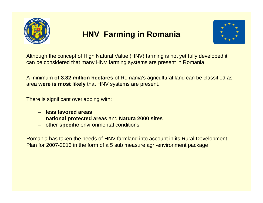

## **HNV Farming in Romania**



Although the concept of High Natural Value (HNV) farming is not yet fully developed it can be considered that many HNV farming systems are present in Romania.

A minimum **of 3.32 million hectares** of Romania's agricultural land can be classified as area **were is most likely** that HNV systems are present.

There is significant overlapping with:

- **less favored areas**
- **national protected areas** and **Natura 2000 sites**
- other **specific** environmental conditions

Romania has taken the needs of HNV farmland into account in its Rural Development Plan for 2007-2013 in the form of a 5 sub measure agri-environment package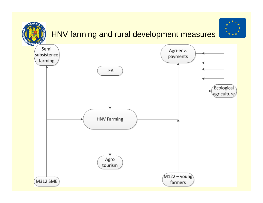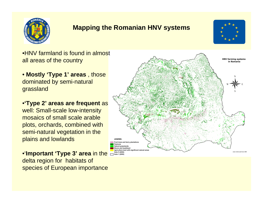

### **Mapping the Romanian HNV systems**



•HNV farmland is found in almost all areas of the country

• **Mostly 'Type 1' areas** , those dominated by semi-natural grassland

•**'Type 2' areas are frequent** as

well: Small-scale low-intensity mosaics of small scale arable plots, orchards, combined with semi-natural vegetation in the plains and lowlands

•'**Important 'Type 3' area** in the delta region for habitats of species of European importance

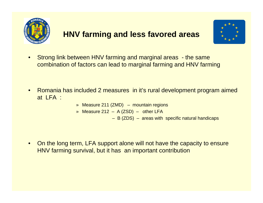

## **HNV farming and less favored areas**



- • Strong link between HNV farming and marginal areas - the same combination of factors can lead to marginal farming and HNV farming
- • Romania has included 2 measures in it's rural development program aimed at LFA :
	- » Measure 211 (ZMD) mountain regions
	- » Measure 212 A (ZSD) other LFA
		- B (ZDS) areas with specific natural handicaps
- $\bullet$  On the long term, LFA support alone will not have the capacity to ensure HNV farming survival, but it has an important contribution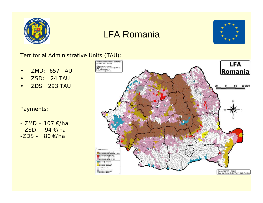

## LFA Romania



#### *Territorial Administrative Units (TAU):*

- $\bullet$ *ZMD: 657 TAU*
- $\bullet$ *ZSD: 24 TAU*
- •*ZDS 293 TAU*

#### *Payments:*

*- ZMD – 107 €/ha- ZSD – 94 €/ha-ZDS - 80 €/ha* 

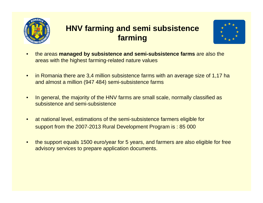

## **HNV farming and semi subsistence farming**



- • the areas **managed by subsistence and semi-subsistence farms** are also the areas with the highest farming-related nature values
- $\bullet$  in Romania there are 3,4 million subsistence farms with an average size of 1,17 ha and almost a million (947 484) semi-subsistence farms
- $\bullet$  In general, the majority of the HNV farms are small scale, normally classified as subsistence and semi-subsistence
- $\bullet$  at national level, estimations of the semi-subsistence farmers eligible for support from the 2007-2013 Rural Development Program is : 85 000
- $\bullet$  the support equals 1500 euro/year for 5 years, and farmers are also eligible for free advisory services to prepare application documents.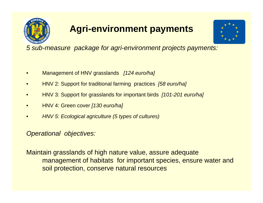

# **Agri-environment payments**



*5 sub-measure package for agri-environment projects payments:*

- •Management of HNV grasslands *[124 euro/ha]*
- •HNV 2: Support for traditional farming practices *[58 euro/ha]*
- •HNV 3: Support for grasslands for important birds *[101-201 euro/ha]*
- •HNV 4: Green cover *[130 euro/ha]*
- •*HNV 5: Ecological agriculture (5 types of cultures)*

### *Operational objectives:*

Maintain grasslands of high nature value, assure adequate management of habitats for important species, ensure water and soil protection, conserve natural resources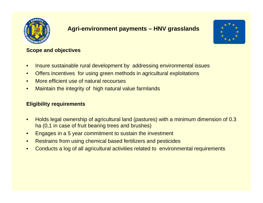

### **Agri-environment payments – HNV grasslands**



#### **Scope and objectives**

- •Insure sustainable rural development by addressing environmental issues
- $\bullet$ Offers incentives for using green methods in agricultural exploitations
- •More efficient use of natural recourses
- •Maintain the integrity of high natural value farmlands

#### **Eligibility requirements**

- • Holds legal ownership of agricultural land (pastures) with a minimum dimension of 0.3 ha (0,1 in case of fruit bearing trees and brushes)
- •Engages in a 5 year commitment to sustain the investment
- •Restrains from using chemical based fertilizers and pesticides
- •Conducts a log of all agricultural activities related to environmental requirements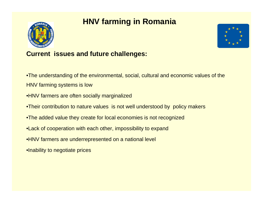## **HNV farming in Romania**





### **Current issues and future challenges:**

•The understanding of the environmental, social, cultural and economic values of the

HNV farming systems is low

- •HNV farmers are often socially marginalized
- •Their contribution to nature values is not well understood by policy makers
- •The added value they create for local economies is not recognized
- •Lack of cooperation with each other, impossibility to expand
- •HNV farmers are underrepresented on a national level
- •Inability to negotiate prices